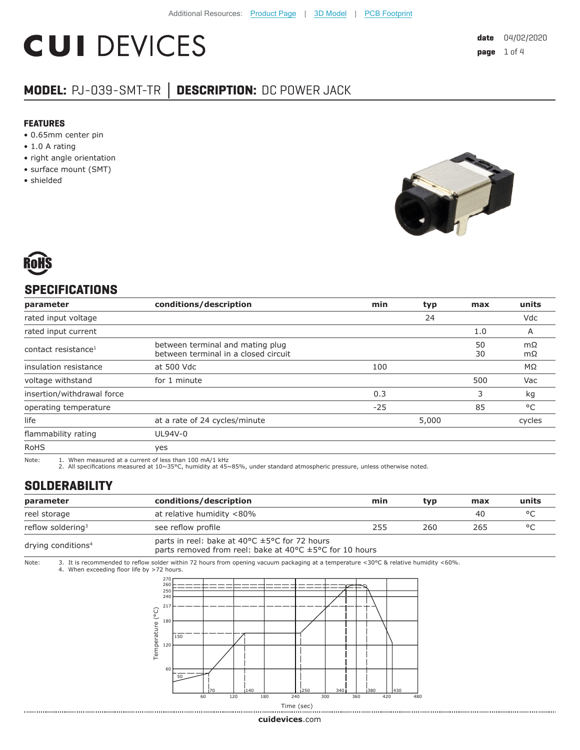# **CUI DEVICES**

### **MODEL:** PJ-039-SMT-TR **│ DESCRIPTION:** DC POWER JACK

#### **FEATURES**

- 0.65mm center pin
- 1.0 A rating
- right angle orientation
- surface mount (SMT)
- shielded





#### **SPECIFICATIONS**

| parameter                       | conditions/description                                                   | min   | typ   | max      | units    |
|---------------------------------|--------------------------------------------------------------------------|-------|-------|----------|----------|
| rated input voltage             |                                                                          |       | 24    |          | Vdc      |
| rated input current             |                                                                          |       |       | 1.0      | A        |
| contact resistance <sup>1</sup> | between terminal and mating plug<br>between terminal in a closed circuit |       |       | 50<br>30 | mΩ<br>mΩ |
| insulation resistance           | at 500 Vdc                                                               | 100   |       |          | MΩ       |
| voltage withstand               | for 1 minute                                                             |       |       | 500      | Vac      |
| insertion/withdrawal force      |                                                                          | 0.3   |       | 3        | kg       |
| operating temperature           |                                                                          | $-25$ |       | 85       | °C       |
| life                            | at a rate of 24 cycles/minute                                            |       | 5,000 |          | cycles   |
| flammability rating             | UL94V-0                                                                  |       |       |          |          |
| <b>RoHS</b>                     | yes                                                                      |       |       |          |          |

Note: 1. When measured at a current of less than 100 mA/1 kHz

2. All specifications measured at 10~35°C, humidity at 45~85%, under standard atmospheric pressure, unless otherwise noted.

#### **SOLDERABILITY**

| parameter                      | conditions/description                                                                                                                                     | min | tvp | max | units   |
|--------------------------------|------------------------------------------------------------------------------------------------------------------------------------------------------------|-----|-----|-----|---------|
| reel storage                   | at relative humidity <80%                                                                                                                                  |     |     | 40  | $\circ$ |
| reflow soldering <sup>3</sup>  | see reflow profile                                                                                                                                         | 255 | 260 | 265 | $\circ$ |
| drying conditions <sup>4</sup> | parts in reel: bake at 40 $\degree$ C $\pm$ 5 $\degree$ C for 72 hours<br>parts removed from reel: bake at 40 $\degree$ C $\pm$ 5 $\degree$ C for 10 hours |     |     |     |         |

Note: 3. It is recommended to reflow solder within 72 hours from opening vacuum packaging at a temperature <30°C & relative humidity <60%. 4. When exceeding floor life by >72 hours.



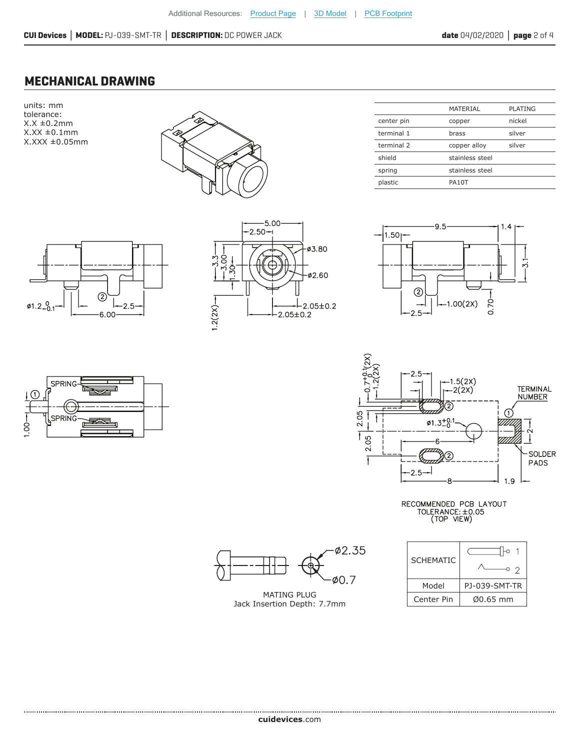MATERIAL PLATING

#### **MECHANICAL DRAWING**

units: mm tolerance:  $X.X \pm 0.2mm$  $X.XX \pm 0.1$ mm X.XXX ±0.05mm



| center pin | copper          | nickel |
|------------|-----------------|--------|
| terminal 1 | brass           | silver |
| terminal 2 | copper alloy    | silver |
| shield     | stainless steel |        |
| spring     | stainless steel |        |
| plastic    | <b>PA10T</b>    |        |
|            |                 |        |



₹

ਛ  $\mathbf{r}$ 

**SPRING** 

SPRING

 $^\copyright$ 

 $\frac{8}{10}$ 







RECOMMENDED PCB LAYOUT<br>TOLERANCE:±0.05<br>(TOP VIEW)



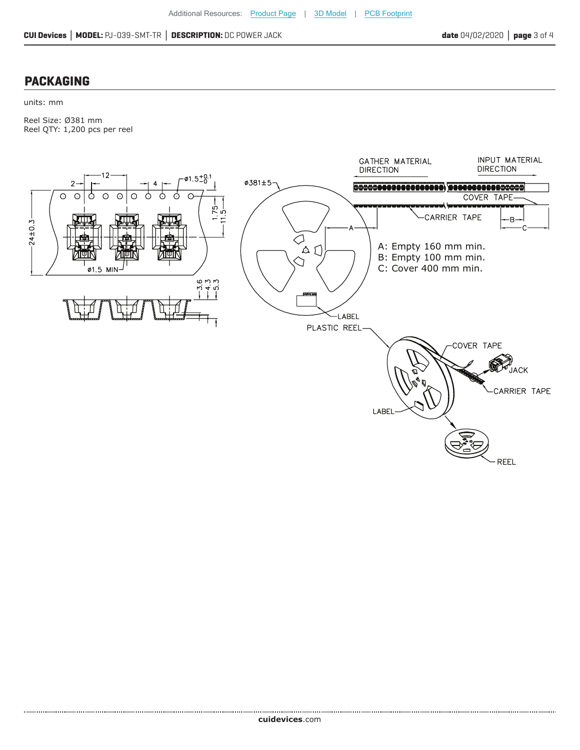#### **PACKAGING**

units: mm

Reel Size: Ø381 mm Reel QTY: 1,200 pcs per reel



**cui[devices](https://www.cuidevices.com/track?actionLabel=Datasheet-ClickThrough-HomePage&label=PJ-039-SMT-TR.PDF&path=/)**.com